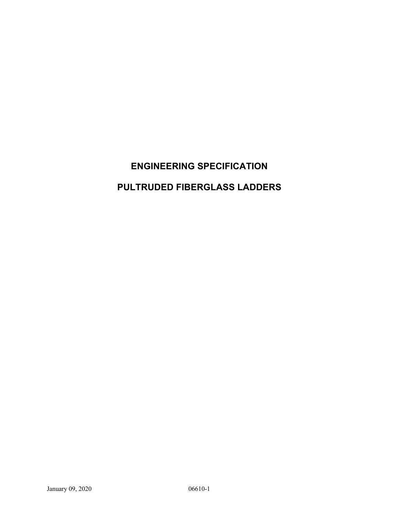# **ENGINEERING SPECIFICATION PULTRUDED FIBERGLASS LADDERS**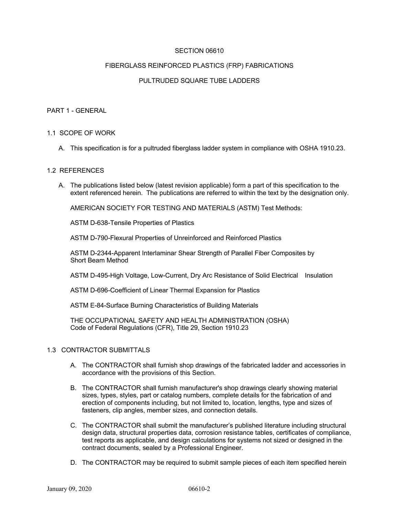## SECTION 06610

### FIBERGLASS REINFORCED PLASTICS (FRP) FABRICATIONS

## PULTRUDED SQUARE TUBE LADDERS

#### PART 1 - GENERAL

#### 1.1 SCOPE OF WORK

A. This specification is for a pultruded fiberglass ladder system in compliance with OSHA 1910.23.

#### 1.2 REFERENCES

A. The publications listed below (latest revision applicable) form a part of this specification to the extent referenced herein. The publications are referred to within the text by the designation only.

AMERICAN SOCIETY FOR TESTING AND MATERIALS (ASTM) Test Methods:

ASTM D-638-Tensile Properties of Plastics

ASTM D-790-Flexural Properties of Unreinforced and Reinforced Plastics

ASTM D-2344-Apparent Interlaminar Shear Strength of Parallel Fiber Composites by Short Beam Method

ASTM D-495-High Voltage, Low-Current, Dry Arc Resistance of Solid Electrical Insulation

ASTM D-696-Coefficient of Linear Thermal Expansion for Plastics

ASTM E-84-Surface Burning Characteristics of Building Materials

THE OCCUPATIONAL SAFETY AND HEALTH ADMINISTRATION (OSHA) Code of Federal Regulations (CFR), Title 29, Section 1910.23

#### 1.3 CONTRACTOR SUBMITTALS

- A. The CONTRACTOR shall furnish shop drawings of the fabricated ladder and accessories in accordance with the provisions of this Section.
- B. The CONTRACTOR shall furnish manufacturer's shop drawings clearly showing material sizes, types, styles, part or catalog numbers, complete details for the fabrication of and erection of components including, but not limited to, location, lengths, type and sizes of fasteners, clip angles, member sizes, and connection details.
- C. The CONTRACTOR shall submit the manufacturer's published literature including structural design data, structural properties data, corrosion resistance tables, certificates of compliance, test reports as applicable, and design calculations for systems not sized or designed in the contract documents, sealed by a Professional Engineer.
- D. The CONTRACTOR may be required to submit sample pieces of each item specified herein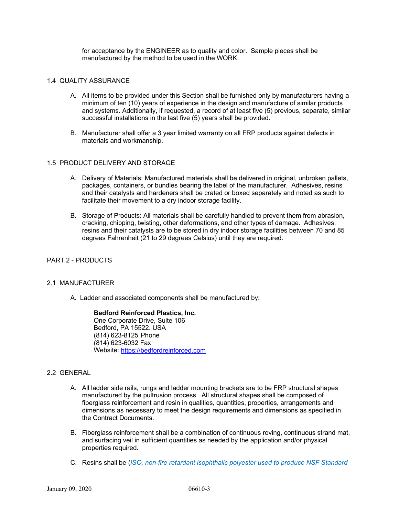for acceptance by the ENGINEER as to quality and color. Sample pieces shall be manufactured by the method to be used in the WORK.

## 1.4 QUALITY ASSURANCE

- A. All items to be provided under this Section shall be furnished only by manufacturers having a minimum of ten (10) years of experience in the design and manufacture of similar products and systems. Additionally, if requested, a record of at least five (5) previous, separate, similar successful installations in the last five (5) years shall be provided.
- B. Manufacturer shall offer a 3 year limited warranty on all FRP products against defects in materials and workmanship.

## 1.5 PRODUCT DELIVERY AND STORAGE

- A. Delivery of Materials: Manufactured materials shall be delivered in original, unbroken pallets, packages, containers, or bundles bearing the label of the manufacturer. Adhesives, resins and their catalysts and hardeners shall be crated or boxed separately and noted as such to facilitate their movement to a dry indoor storage facility.
- B. Storage of Products: All materials shall be carefully handled to prevent them from abrasion, cracking, chipping, twisting, other deformations, and other types of damage. Adhesives, resins and their catalysts are to be stored in dry indoor storage facilities between 70 and 85 degrees Fahrenheit (21 to 29 degrees Celsius) until they are required.

### PART 2 - PRODUCTS

### 2.1 MANUFACTURER

A. Ladder and associated components shall be manufactured by:

### **Bedford Reinforced Plastics, Inc.**

One Corporate Drive, Suite 106 Bedford, PA 15522. USA (814) 623-8125 Phone (814) 623-6032 Fax Website: https://bedfordreinforced.com

## 2.2 GENERAL

- A. All ladder side rails, rungs and ladder mounting brackets are to be FRP structural shapes manufactured by the pultrusion process. All structural shapes shall be composed of fiberglass reinforcement and resin in qualities, quantities, properties, arrangements and dimensions as necessary to meet the design requirements and dimensions as specified in the Contract Documents.
- B. Fiberglass reinforcement shall be a combination of continuous roving, continuous strand mat, and surfacing veil in sufficient quantities as needed by the application and/or physical properties required.
- C. Resins shall be {*ISO, non-fire retardant isophthalic polyester used to produce NSF Standard*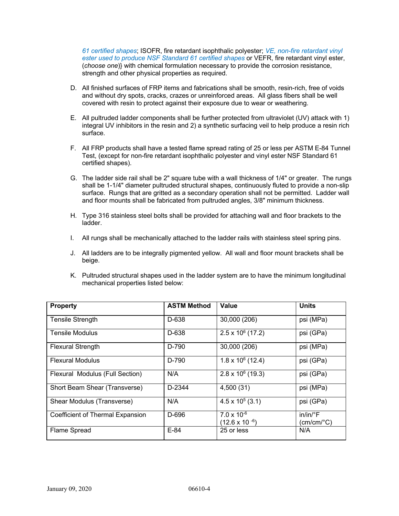*61 certified shapes*; ISOFR, fire retardant isophthalic polyester; *VE, non-fire retardant vinyl ester used to produce NSF Standard 61 certified shapes* or VEFR, fire retardant vinyl ester, (*choose one*)} with chemical formulation necessary to provide the corrosion resistance, strength and other physical properties as required.

- D. All finished surfaces of FRP items and fabrications shall be smooth, resin-rich, free of voids and without dry spots, cracks, crazes or unreinforced areas. All glass fibers shall be well covered with resin to protect against their exposure due to wear or weathering.
- E. All pultruded ladder components shall be further protected from ultraviolet (UV) attack with 1) integral UV inhibitors in the resin and 2) a synthetic surfacing veil to help produce a resin rich surface.
- F. All FRP products shall have a tested flame spread rating of 25 or less per ASTM E-84 Tunnel Test, (except for non-fire retardant isophthalic polyester and vinyl ester NSF Standard 61 certified shapes).
- G. The ladder side rail shall be 2" square tube with a wall thickness of 1/4" or greater. The rungs shall be 1-1/4" diameter pultruded structural shapes, continuously fluted to provide a non-slip surface. Rungs that are gritted as a secondary operation shall not be permitted. Ladder wall and floor mounts shall be fabricated from pultruded angles, 3/8" minimum thickness.
- H. Type 316 stainless steel bolts shall be provided for attaching wall and floor brackets to the ladder.
- I. All rungs shall be mechanically attached to the ladder rails with stainless steel spring pins.
- J. All ladders are to be integrally pigmented yellow. All wall and floor mount brackets shall be beige.
- K. Pultruded structural shapes used in the ladder system are to have the minimum longitudinal mechanical properties listed below:

| <b>Property</b>                  | <b>ASTM Method</b> | Value                                           | <b>Units</b>                         |
|----------------------------------|--------------------|-------------------------------------------------|--------------------------------------|
| <b>Tensile Strength</b>          | D-638              | 30,000 (206)                                    | psi (MPa)                            |
| <b>Tensile Modulus</b>           | D-638              | $2.5 \times 10^6$ (17.2)                        | psi (GPa)                            |
| <b>Flexural Strength</b>         | D-790              | 30,000 (206)                                    | psi (MPa)                            |
| <b>Flexural Modulus</b>          | D-790              | $1.8 \times 10^6$ (12.4)                        | psi (GPa)                            |
| Flexural Modulus (Full Section)  | N/A                | $2.8 \times 10^6$ (19.3)                        | psi (GPa)                            |
| Short Beam Shear (Transverse)    | D-2344             | 4,500 (31)                                      | psi (MPa)                            |
| Shear Modulus (Transverse)       | N/A                | $4.5 \times 10^5$ (3.1)                         | psi (GPa)                            |
| Coefficient of Thermal Expansion | D-696              | $7.0 \times 10^{-6}$<br>$(12.6 \times 10^{-6})$ | in/in/°F<br>$(cm/cm$ <sup>o</sup> C) |
| Flame Spread                     | $E-84$             | 25 or less                                      | N/A                                  |